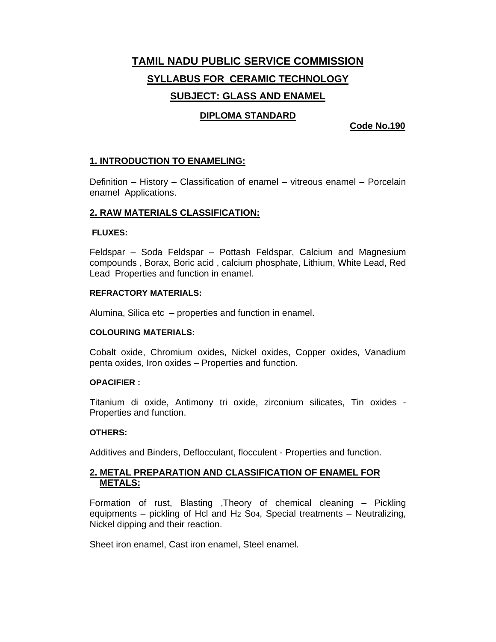# **TAMIL NADU PUBLIC SERVICE COMMISSION SYLLABUS FOR CERAMIC TECHNOLOGY SUBJECT: GLASS AND ENAMEL**

# **DIPLOMA STANDARD**

### **Code No.190**

### **1. INTRODUCTION TO ENAMELING:**

Definition – History – Classification of enamel – vitreous enamel – Porcelain enamel Applications.

#### **2. RAW MATERIALS CLASSIFICATION:**

#### **FLUXES:**

Feldspar – Soda Feldspar – Pottash Feldspar, Calcium and Magnesium compounds , Borax, Boric acid , calcium phosphate, Lithium, White Lead, Red Lead Properties and function in enamel.

#### **REFRACTORY MATERIALS:**

Alumina, Silica etc – properties and function in enamel.

#### **COLOURING MATERIALS:**

Cobalt oxide, Chromium oxides, Nickel oxides, Copper oxides, Vanadium penta oxides, Iron oxides – Properties and function.

#### **OPACIFIER :**

Titanium di oxide, Antimony tri oxide, zirconium silicates, Tin oxides - Properties and function.

#### **OTHERS:**

Additives and Binders, Deflocculant, flocculent - Properties and function.

# **2. METAL PREPARATION AND CLASSIFICATION OF ENAMEL FOR METALS:**

Formation of rust, Blasting ,Theory of chemical cleaning – Pickling equipments – pickling of Hcl and H2 So4, Special treatments – Neutralizing, Nickel dipping and their reaction.

Sheet iron enamel, Cast iron enamel, Steel enamel.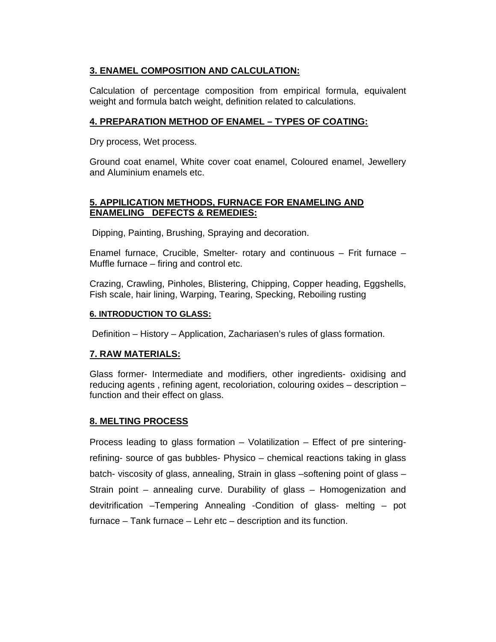# **3. ENAMEL COMPOSITION AND CALCULATION:**

Calculation of percentage composition from empirical formula, equivalent weight and formula batch weight, definition related to calculations.

# **4. PREPARATION METHOD OF ENAMEL – TYPES OF COATING:**

Dry process, Wet process.

Ground coat enamel, White cover coat enamel, Coloured enamel, Jewellery and Aluminium enamels etc.

# **5. APPILICATION METHODS, FURNACE FOR ENAMELING AND ENAMELING DEFECTS & REMEDIES:**

Dipping, Painting, Brushing, Spraying and decoration.

Enamel furnace, Crucible, Smelter- rotary and continuous – Frit furnace – Muffle furnace – firing and control etc.

Crazing, Crawling, Pinholes, Blistering, Chipping, Copper heading, Eggshells, Fish scale, hair lining, Warping, Tearing, Specking, Reboiling rusting

# **6. INTRODUCTION TO GLASS:**

Definition – History – Application, Zachariasen's rules of glass formation.

# **7. RAW MATERIALS:**

Glass former- Intermediate and modifiers, other ingredients- oxidising and reducing agents , refining agent, recoloriation, colouring oxides – description – function and their effect on glass.

# **8. MELTING PROCESS**

Process leading to glass formation – Volatilization – Effect of pre sinteringrefining- source of gas bubbles- Physico – chemical reactions taking in glass batch- viscosity of glass, annealing, Strain in glass –softening point of glass – Strain point – annealing curve. Durability of glass – Homogenization and devitrification –Tempering Annealing -Condition of glass- melting – pot furnace – Tank furnace – Lehr etc – description and its function.